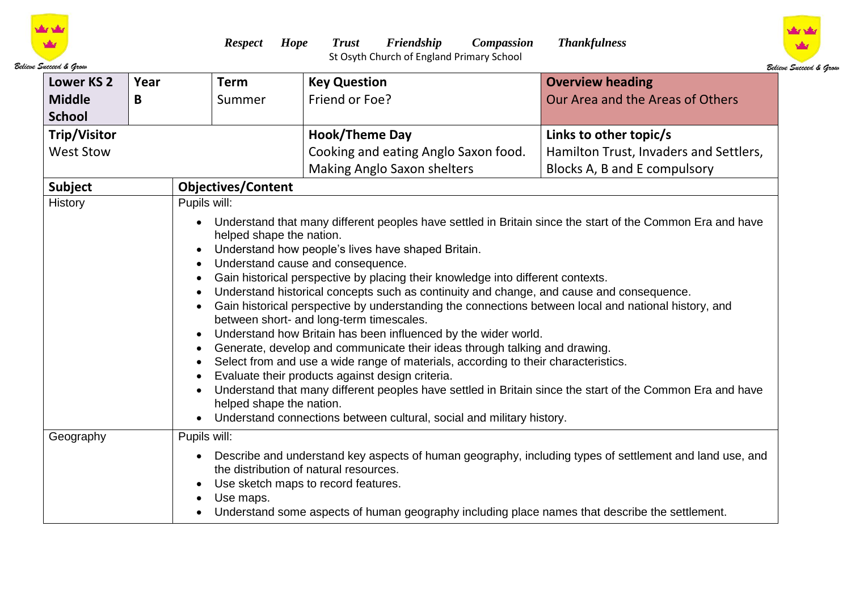



| <b>Lower KS 2</b>   | Year         | <b>Term</b>                                          | <b>Key Question</b>                                                                                                                                                                                                                                                                                                                                                                                                                                                                                                                                                                                                                                                                                                                                                                                                                                                                                                                                                                                                     | <b>Overview heading</b>                |  |
|---------------------|--------------|------------------------------------------------------|-------------------------------------------------------------------------------------------------------------------------------------------------------------------------------------------------------------------------------------------------------------------------------------------------------------------------------------------------------------------------------------------------------------------------------------------------------------------------------------------------------------------------------------------------------------------------------------------------------------------------------------------------------------------------------------------------------------------------------------------------------------------------------------------------------------------------------------------------------------------------------------------------------------------------------------------------------------------------------------------------------------------------|----------------------------------------|--|
| <b>Middle</b>       | B            | Summer                                               | Friend or Foe?                                                                                                                                                                                                                                                                                                                                                                                                                                                                                                                                                                                                                                                                                                                                                                                                                                                                                                                                                                                                          | Our Area and the Areas of Others       |  |
| <b>School</b>       |              |                                                      |                                                                                                                                                                                                                                                                                                                                                                                                                                                                                                                                                                                                                                                                                                                                                                                                                                                                                                                                                                                                                         |                                        |  |
| <b>Trip/Visitor</b> |              |                                                      | <b>Hook/Theme Day</b>                                                                                                                                                                                                                                                                                                                                                                                                                                                                                                                                                                                                                                                                                                                                                                                                                                                                                                                                                                                                   | Links to other topic/s                 |  |
| <b>West Stow</b>    |              |                                                      | Cooking and eating Anglo Saxon food.                                                                                                                                                                                                                                                                                                                                                                                                                                                                                                                                                                                                                                                                                                                                                                                                                                                                                                                                                                                    | Hamilton Trust, Invaders and Settlers, |  |
|                     |              |                                                      | Making Anglo Saxon shelters                                                                                                                                                                                                                                                                                                                                                                                                                                                                                                                                                                                                                                                                                                                                                                                                                                                                                                                                                                                             | Blocks A, B and E compulsory           |  |
| <b>Subject</b>      |              | <b>Objectives/Content</b>                            |                                                                                                                                                                                                                                                                                                                                                                                                                                                                                                                                                                                                                                                                                                                                                                                                                                                                                                                                                                                                                         |                                        |  |
| History             | Pupils will: |                                                      |                                                                                                                                                                                                                                                                                                                                                                                                                                                                                                                                                                                                                                                                                                                                                                                                                                                                                                                                                                                                                         |                                        |  |
|                     | $\bullet$    | helped shape the nation.<br>helped shape the nation. | Understand that many different peoples have settled in Britain since the start of the Common Era and have<br>Understand how people's lives have shaped Britain.<br>Understand cause and consequence.<br>Gain historical perspective by placing their knowledge into different contexts.<br>Understand historical concepts such as continuity and change, and cause and consequence.<br>Gain historical perspective by understanding the connections between local and national history, and<br>between short- and long-term timescales.<br>Understand how Britain has been influenced by the wider world.<br>Generate, develop and communicate their ideas through talking and drawing.<br>Select from and use a wide range of materials, according to their characteristics.<br>Evaluate their products against design criteria.<br>Understand that many different peoples have settled in Britain since the start of the Common Era and have<br>Understand connections between cultural, social and military history. |                                        |  |
| Geography           |              | Pupils will:                                         |                                                                                                                                                                                                                                                                                                                                                                                                                                                                                                                                                                                                                                                                                                                                                                                                                                                                                                                                                                                                                         |                                        |  |
|                     |              | Use maps.                                            | Describe and understand key aspects of human geography, including types of settlement and land use, and<br>the distribution of natural resources.<br>Use sketch maps to record features.<br>Understand some aspects of human geography including place names that describe the settlement.                                                                                                                                                                                                                                                                                                                                                                                                                                                                                                                                                                                                                                                                                                                              |                                        |  |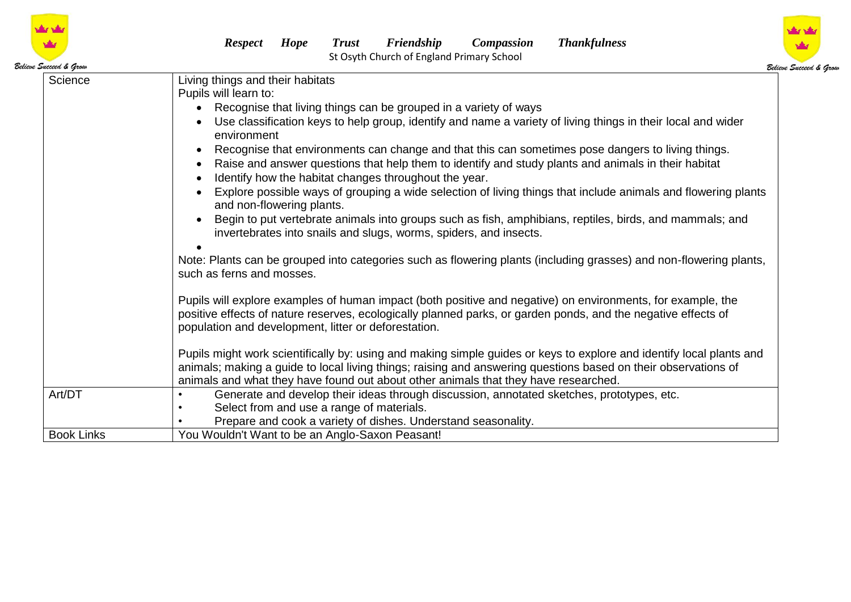



| Succeed & Grow    | Believ                                                                                                                                                                                                                                                                                                                        |  |  |  |
|-------------------|-------------------------------------------------------------------------------------------------------------------------------------------------------------------------------------------------------------------------------------------------------------------------------------------------------------------------------|--|--|--|
| Science           | Living things and their habitats<br>Pupils will learn to:                                                                                                                                                                                                                                                                     |  |  |  |
|                   | Recognise that living things can be grouped in a variety of ways                                                                                                                                                                                                                                                              |  |  |  |
|                   | Use classification keys to help group, identify and name a variety of living things in their local and wider<br>environment                                                                                                                                                                                                   |  |  |  |
|                   | Recognise that environments can change and that this can sometimes pose dangers to living things.<br>Raise and answer questions that help them to identify and study plants and animals in their habitat                                                                                                                      |  |  |  |
|                   | Identify how the habitat changes throughout the year.<br>Explore possible ways of grouping a wide selection of living things that include animals and flowering plants<br>and non-flowering plants.                                                                                                                           |  |  |  |
|                   | Begin to put vertebrate animals into groups such as fish, amphibians, reptiles, birds, and mammals; and<br>invertebrates into snails and slugs, worms, spiders, and insects.                                                                                                                                                  |  |  |  |
|                   | Note: Plants can be grouped into categories such as flowering plants (including grasses) and non-flowering plants,<br>such as ferns and mosses.                                                                                                                                                                               |  |  |  |
|                   | Pupils will explore examples of human impact (both positive and negative) on environments, for example, the<br>positive effects of nature reserves, ecologically planned parks, or garden ponds, and the negative effects of<br>population and development, litter or deforestation.                                          |  |  |  |
|                   | Pupils might work scientifically by: using and making simple guides or keys to explore and identify local plants and<br>animals; making a guide to local living things; raising and answering questions based on their observations of<br>animals and what they have found out about other animals that they have researched. |  |  |  |
| Art/DT            | Generate and develop their ideas through discussion, annotated sketches, prototypes, etc.                                                                                                                                                                                                                                     |  |  |  |
|                   | Select from and use a range of materials.                                                                                                                                                                                                                                                                                     |  |  |  |
|                   | Prepare and cook a variety of dishes. Understand seasonality.                                                                                                                                                                                                                                                                 |  |  |  |
| <b>Book Links</b> | You Wouldn't Want to be an Anglo-Saxon Peasant!                                                                                                                                                                                                                                                                               |  |  |  |
|                   |                                                                                                                                                                                                                                                                                                                               |  |  |  |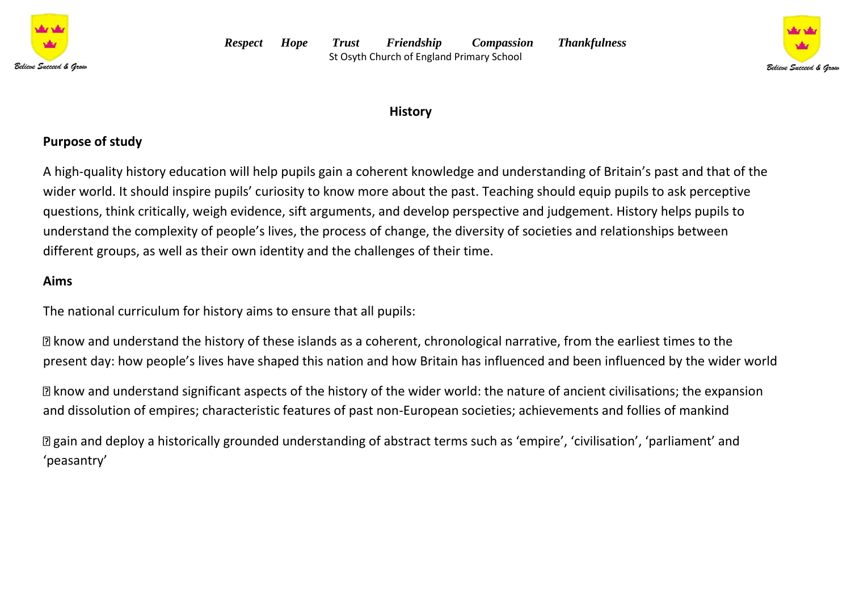



# **History**

# **Purpose of study**

A high-quality history education will help pupils gain a coherent knowledge and understanding of Britain's past and that of the wider world. It should inspire pupils' curiosity to know more about the past. Teaching should equip pupils to ask perceptive questions, think critically, weigh evidence, sift arguments, and develop perspective and judgement. History helps pupils to understand the complexity of people's lives, the process of change, the diversity of societies and relationships between different groups, as well as their own identity and the challenges of their time.

# **Aims**

The national curriculum for history aims to ensure that all pupils:

**R** know and understand the history of these islands as a coherent, chronological narrative, from the earliest times to the present day: how people's lives have shaped this nation and how Britain has influenced and been influenced by the wider world

■ know and understand significant aspects of the history of the wider world: the nature of ancient civilisations; the expansion and dissolution of empires; characteristic features of past non-European societies; achievements and follies of mankind

gain and deploy a historically grounded understanding of abstract terms such as 'empire', 'civilisation', 'parliament' and 'peasantry'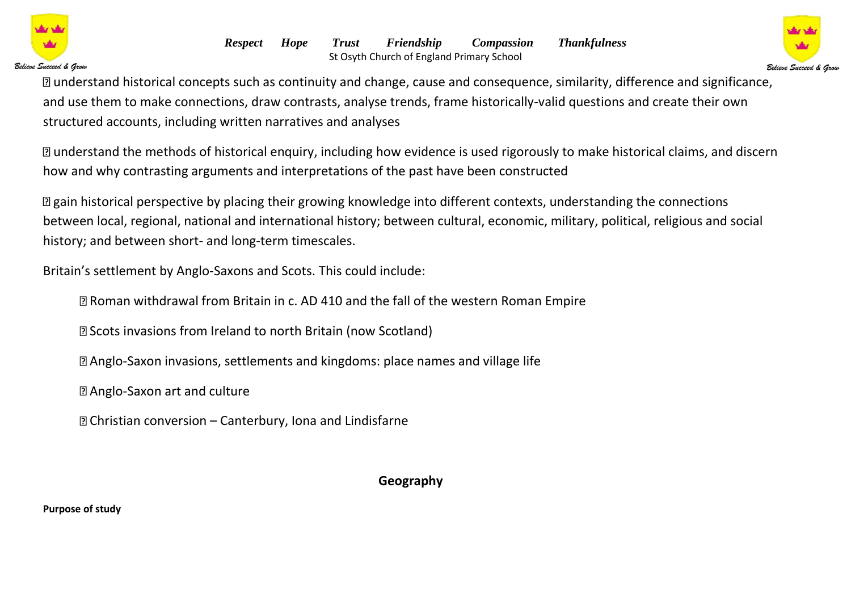



understand historical concepts such as continuity and change, cause and consequence, similarity, difference and significance, and use them to make connections, draw contrasts, analyse trends, frame historically-valid questions and create their own structured accounts, including written narratives and analyses

understand the methods of historical enquiry, including how evidence is used rigorously to make historical claims, and discern how and why contrasting arguments and interpretations of the past have been constructed

gain historical perspective by placing their growing knowledge into different contexts, understanding the connections between local, regional, national and international history; between cultural, economic, military, political, religious and social history; and between short- and long-term timescales.

Britain's settlement by Anglo-Saxons and Scots. This could include:

Roman withdrawal from Britain in c. AD 410 and the fall of the western Roman Empire

Scots invasions from Ireland to north Britain (now Scotland)

Anglo-Saxon invasions, settlements and kingdoms: place names and village life

Anglo-Saxon art and culture

Christian conversion – Canterbury, Iona and Lindisfarne

**Geography**

**Purpose of study**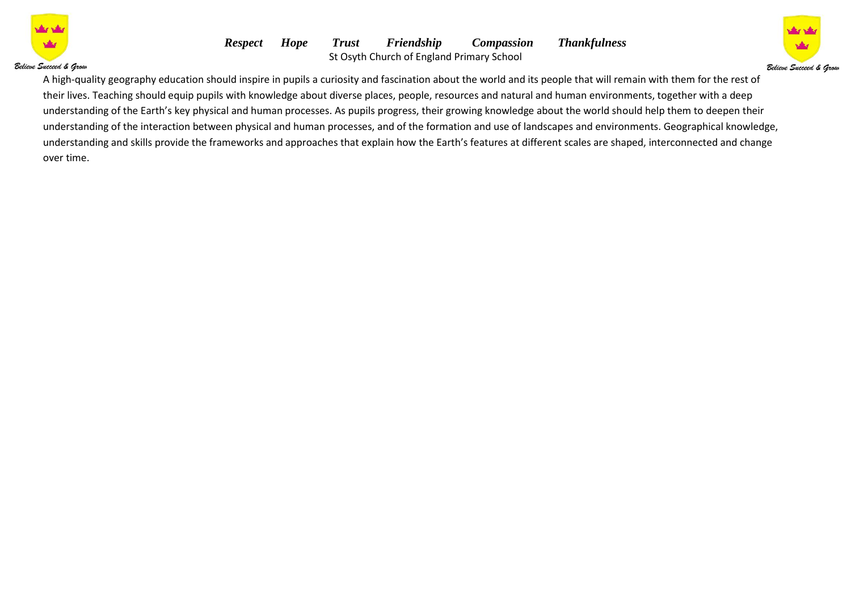



A high-quality geography education should inspire in pupils a curiosity and fascination about the world and its people that will remain with them for the rest of their lives. Teaching should equip pupils with knowledge about diverse places, people, resources and natural and human environments, together with a deep understanding of the Earth's key physical and human processes. As pupils progress, their growing knowledge about the world should help them to deepen their understanding of the interaction between physical and human processes, and of the formation and use of landscapes and environments. Geographical knowledge, understanding and skills provide the frameworks and approaches that explain how the Earth's features at different scales are shaped, interconnected and change over time.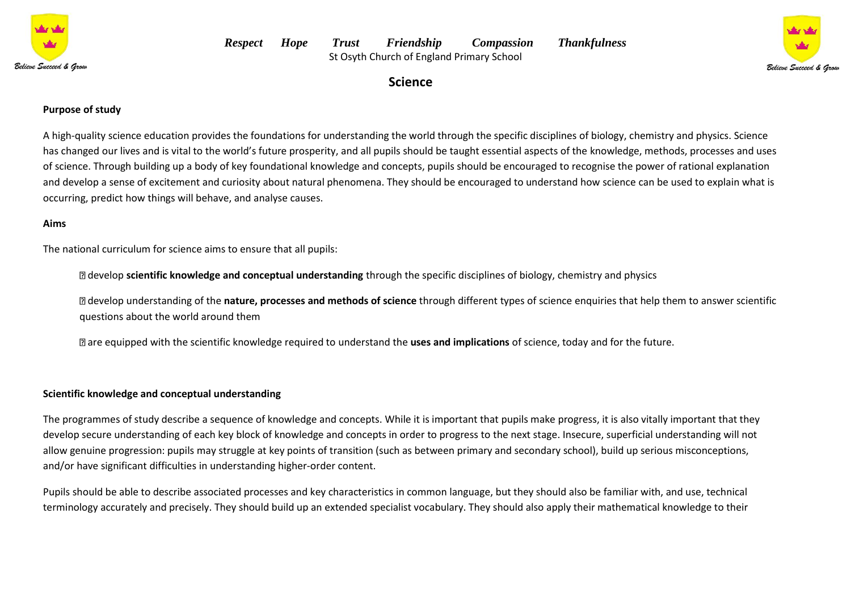



# **Science**

#### **Purpose of study**

A high-quality science education provides the foundations for understanding the world through the specific disciplines of biology, chemistry and physics. Science has changed our lives and is vital to the world's future prosperity, and all pupils should be taught essential aspects of the knowledge, methods, processes and uses of science. Through building up a body of key foundational knowledge and concepts, pupils should be encouraged to recognise the power of rational explanation and develop a sense of excitement and curiosity about natural phenomena. They should be encouraged to understand how science can be used to explain what is occurring, predict how things will behave, and analyse causes.

#### **Aims**

The national curriculum for science aims to ensure that all pupils:

develop **scientific knowledge and conceptual understanding** through the specific disciplines of biology, chemistry and physics

develop understanding of the **nature, processes and methods of science** through different types of science enquiries that help them to answer scientific questions about the world around them

are equipped with the scientific knowledge required to understand the **uses and implications** of science, today and for the future.

#### **Scientific knowledge and conceptual understanding**

The programmes of study describe a sequence of knowledge and concepts. While it is important that pupils make progress, it is also vitally important that they develop secure understanding of each key block of knowledge and concepts in order to progress to the next stage. Insecure, superficial understanding will not allow genuine progression: pupils may struggle at key points of transition (such as between primary and secondary school), build up serious misconceptions, and/or have significant difficulties in understanding higher-order content.

Pupils should be able to describe associated processes and key characteristics in common language, but they should also be familiar with, and use, technical terminology accurately and precisely. They should build up an extended specialist vocabulary. They should also apply their mathematical knowledge to their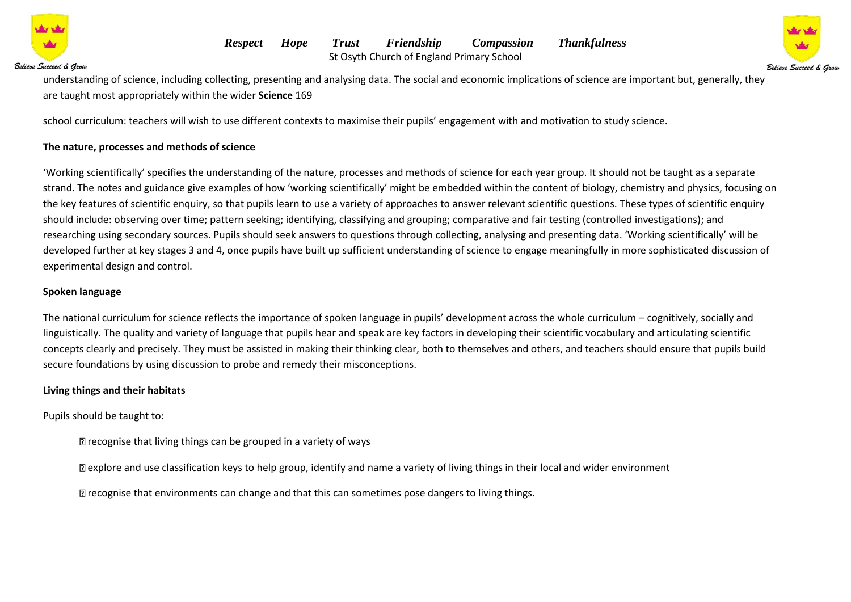



understanding of science, including collecting, presenting and analysing data. The social and economic implications of science are important but, generally, they are taught most appropriately within the wider **Science** 169

school curriculum: teachers will wish to use different contexts to maximise their pupils' engagement with and motivation to study science.

## **The nature, processes and methods of science**

'Working scientifically' specifies the understanding of the nature, processes and methods of science for each year group. It should not be taught as a separate strand. The notes and guidance give examples of how 'working scientifically' might be embedded within the content of biology, chemistry and physics, focusing on the key features of scientific enquiry, so that pupils learn to use a variety of approaches to answer relevant scientific questions. These types of scientific enquiry should include: observing over time; pattern seeking; identifying, classifying and grouping; comparative and fair testing (controlled investigations); and researching using secondary sources. Pupils should seek answers to questions through collecting, analysing and presenting data. 'Working scientifically' will be developed further at key stages 3 and 4, once pupils have built up sufficient understanding of science to engage meaningfully in more sophisticated discussion of experimental design and control.

#### **Spoken language**

The national curriculum for science reflects the importance of spoken language in pupils' development across the whole curriculum – cognitively, socially and linguistically. The quality and variety of language that pupils hear and speak are key factors in developing their scientific vocabulary and articulating scientific concepts clearly and precisely. They must be assisted in making their thinking clear, both to themselves and others, and teachers should ensure that pupils build secure foundations by using discussion to probe and remedy their misconceptions.

#### **Living things and their habitats**

Pupils should be taught to:

recognise that living things can be grouped in a variety of ways

 $\mathbb B$  explore and use classification keys to help group, identify and name a variety of living things in their local and wider environment

 $\mathbb D$  recognise that environments can change and that this can sometimes pose dangers to living things.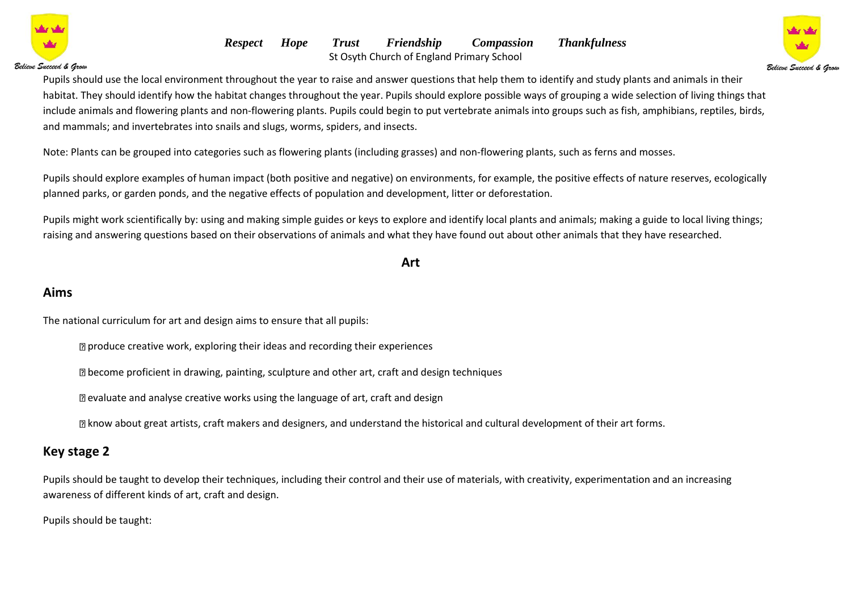



# Pupils should use the local environment throughout the year to raise and answer questions that help them to identify and study plants and animals in their habitat. They should identify how the habitat changes throughout the year. Pupils should explore possible ways of grouping a wide selection of living things that include animals and flowering plants and non-flowering plants. Pupils could begin to put vertebrate animals into groups such as fish, amphibians, reptiles, birds, and mammals; and invertebrates into snails and slugs, worms, spiders, and insects.

Note: Plants can be grouped into categories such as flowering plants (including grasses) and non-flowering plants, such as ferns and mosses.

Pupils should explore examples of human impact (both positive and negative) on environments, for example, the positive effects of nature reserves, ecologically planned parks, or garden ponds, and the negative effects of population and development, litter or deforestation.

Pupils might work scientifically by: using and making simple guides or keys to explore and identify local plants and animals; making a guide to local living things; raising and answering questions based on their observations of animals and what they have found out about other animals that they have researched.

# **Art**

# **Aims**

The national curriculum for art and design aims to ensure that all pupils:

 $\mathbb D$  produce creative work, exploring their ideas and recording their experiences

 $\mathbb D$  become proficient in drawing, painting, sculpture and other art, craft and design techniques

evaluate and analyse creative works using the language of art, craft and design

**■** know about great artists, craft makers and designers, and understand the historical and cultural development of their art forms.

# **Key stage 2**

Pupils should be taught to develop their techniques, including their control and their use of materials, with creativity, experimentation and an increasing awareness of different kinds of art, craft and design.

Pupils should be taught: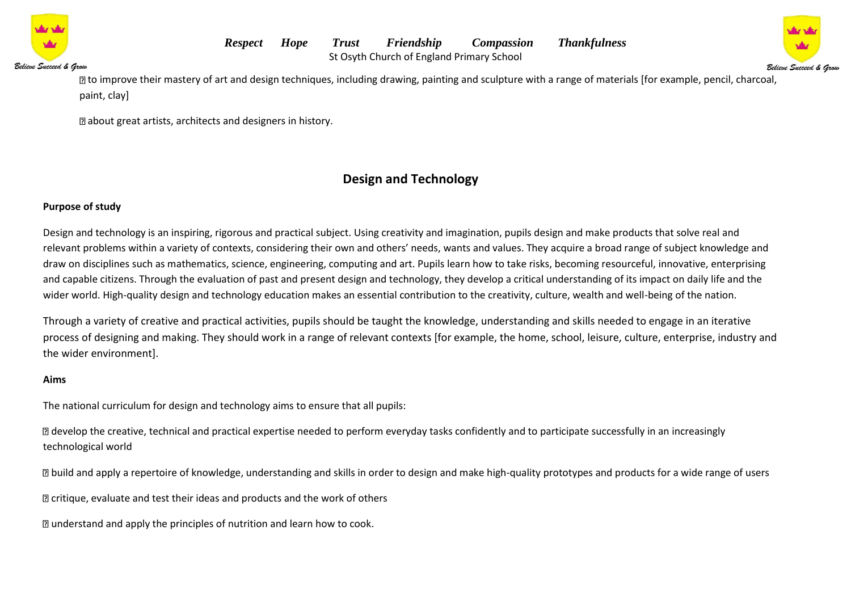

# *Respect Hope Trust Friendship Compassion Thankfulness*

St Osyth Church of England Primary School



D to improve their mastery of art and design techniques, including drawing, painting and sculpture with a range of materials [for example, pencil, charcoal, paint, clay]

about great artists, architects and designers in history.

# **Design and Technology**

## **Purpose of study**

Design and technology is an inspiring, rigorous and practical subject. Using creativity and imagination, pupils design and make products that solve real and relevant problems within a variety of contexts, considering their own and others' needs, wants and values. They acquire a broad range of subject knowledge and draw on disciplines such as mathematics, science, engineering, computing and art. Pupils learn how to take risks, becoming resourceful, innovative, enterprising and capable citizens. Through the evaluation of past and present design and technology, they develop a critical understanding of its impact on daily life and the wider world. High-quality design and technology education makes an essential contribution to the creativity, culture, wealth and well-being of the nation.

Through a variety of creative and practical activities, pupils should be taught the knowledge, understanding and skills needed to engage in an iterative process of designing and making. They should work in a range of relevant contexts [for example, the home, school, leisure, culture, enterprise, industry and the wider environment].

#### **Aims**

The national curriculum for design and technology aims to ensure that all pupils:

develop the creative, technical and practical expertise needed to perform everyday tasks confidently and to participate successfully in an increasingly technological world

 $\Box$  build and apply a repertoire of knowledge, understanding and skills in order to design and make high-quality prototypes and products for a wide range of users

critique, evaluate and test their ideas and products and the work of others

 $\mathbb D$  understand and apply the principles of nutrition and learn how to cook.